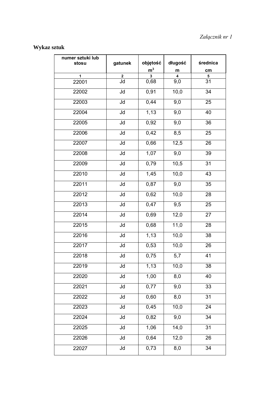## **Wykaz sztuk**

| numer sztuki lub<br>stosu | gatunek                 | objętość    | długość | średnica        |
|---------------------------|-------------------------|-------------|---------|-----------------|
|                           |                         | ${\sf m}^3$ | m       | cm              |
| 1                         | $\overline{2}$          | 3           | 4       | 5               |
| 22001                     | Jd                      | 0,68        | 9,0     | 31              |
| 22002                     | Jd                      | 0,91        | 10,0    | 34              |
| 22003                     | Jd                      | 0,44        | 9,0     | 25              |
| 22004                     | Jd                      | 1,13        | 9,0     | 40              |
| 22005                     | Jd                      | 0,92        | 9,0     | 36              |
| 22006                     | $\overline{\mathsf{d}}$ | 0,42        | 8,5     | 25              |
| 22007                     | Jd                      | 0,66        | 12,5    | 26              |
| 22008                     | Jd                      | 1,07        | 9,0     | 39              |
| 22009                     | Jd                      | 0,79        | 10,5    | 31              |
| 22010                     | Jd                      | 1,45        | 10,0    | 43              |
| 22011                     | Jd                      | 0,87        | 9,0     | 35              |
| 22012                     | Jd                      | 0,62        | 10,0    | 28              |
| 22013                     | Jd                      | 0,47        | 9,5     | 25              |
| 22014                     | Jd                      | 0,69        | 12,0    | 27              |
| 22015                     | Jd                      | 0,68        | 11,0    | 28              |
| 22016                     | Jd                      | 1,13        | 10,0    | 38              |
| 22017                     | Jd                      | 0,53        | 10,0    | 26              |
| 22018                     | Jd                      | 0,75        | 5,7     | 41              |
| 22019                     | Jd                      | 1,13        | 10,0    | 38              |
| 22020                     | $\overline{\mathsf{d}}$ | 1,00        | 8,0     | $\overline{40}$ |
| 22021                     | Jd                      | 0,77        | 9,0     | 33              |
| 22022                     | Jd                      | 0,60        | 8,0     | 31              |
| 22023                     | Jd                      | 0,45        | 10,0    | $\overline{24}$ |
| 22024                     | Jd                      | 0,82        | 9,0     | 34              |
| 22025                     | $\overline{\mathsf{d}}$ | 1,06        | 14,0    | $\overline{31}$ |
| 22026                     | Jd                      | 0,64        | 12,0    | 26              |
| 22027                     | Jd                      | 0,73        | 8,0     | 34              |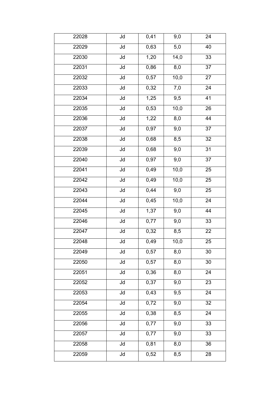| 22028 | Jd                       | 0,41              | 9,0              | 24              |
|-------|--------------------------|-------------------|------------------|-----------------|
| 22029 | Jd                       | 0,63              | 5,0              | 40              |
| 22030 | $\overline{\mathsf{d}}$  | 1,20              | 14,0             | 33              |
| 22031 | Jd                       | 0,86              | 8,0              | 37              |
| 22032 | $\overline{\mathsf{d}}$  | 0,57              | 10,0             | 27              |
| 22033 | Jd                       | 0,32              | 7,0              | 24              |
| 22034 | Jd                       | 1,25              | 9,5              | 41              |
| 22035 | Jd                       | 0,53              | 10,0             | 26              |
| 22036 | Jd                       | 1,22              | 8,0              | 44              |
| 22037 | $\overline{\mathsf{Jd}}$ | 0,97              | 9,0              | $\overline{37}$ |
| 22038 | $\overline{\mathsf{d}}$  | 0,68              | 8,5              | $\overline{32}$ |
| 22039 | Jd                       | 0,68              | 9,0              | 31              |
| 22040 | Jd                       | 0,97              | 9,0              | $\overline{37}$ |
| 22041 | Jd                       | 0,49              | 10,0             | 25              |
| 22042 | $\overline{\mathsf{Jd}}$ | 0,49              | 10,0             | $\overline{25}$ |
| 22043 | $\overline{\mathsf{d}}$  | 0,44              | 9,0              | $\overline{25}$ |
| 22044 | Jd                       | 0,45              | 10,0             | $\overline{24}$ |
| 22045 | Jd                       | 1,37              | 9,0              | 44              |
| 22046 | Jd                       | $\overline{0,}77$ | 9,0              | 33              |
| 22047 | Jd                       | 0,32              | 8,5              | 22              |
| 22048 | Jd                       | 0,49              | 10,0             | 25              |
| 22049 | Jd                       | 0,57              | 8,0              | 30              |
| 22050 | Jd                       | 0,57              | 8,0              | 30              |
| 22051 | Jd                       | 0,36              | $\overline{8,0}$ | 24              |
| 22052 | Jd                       | 0,37              | 9,0              | 23              |
| 22053 | Jd                       | 0,43              | 9,5              | 24              |
| 22054 | Jd                       | 0,72              | 9,0              | 32              |
| 22055 | Jd                       | 0,38              | 8,5              | 24              |
| 22056 | $\overline{\mathsf{d}}$  | 0,77              | $\overline{9,0}$ | 33              |
| 22057 | Jd                       | 0,77              | 9,0              | 33              |
| 22058 | Jd                       | 0,81              | 8,0              | 36              |
| 22059 | $\overline{\mathsf{d}}$  | 0,52              | 8,5              | 28              |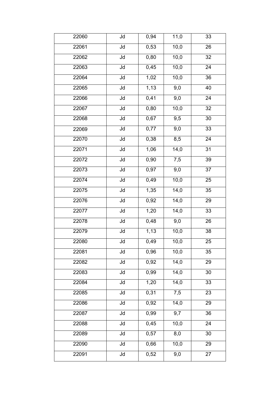| 22060 | Jd                      | 0,94 | 11,0             | 33              |
|-------|-------------------------|------|------------------|-----------------|
| 22061 | Jd                      | 0,53 | 10,0             | 26              |
| 22062 | Jd                      | 0,80 | 10,0             | 32              |
| 22063 | $\overline{\mathsf{d}}$ | 0,45 | 10,0             | 24              |
| 22064 | Jd                      | 1,02 | 10,0             | 36              |
| 22065 | Jd                      | 1,13 | 9,0              | 40              |
| 22066 | Jd                      | 0,41 | 9,0              | 24              |
| 22067 | Jd                      | 0,80 | 10,0             | 32              |
| 22068 | Jd                      | 0,67 | 9,5              | $30\,$          |
| 22069 | $\overline{\mathsf{d}}$ | 0,77 | $\overline{9,0}$ | $\overline{33}$ |
| 22070 | $\overline{\mathsf{d}}$ | 0,38 | 8,5              | 24              |
| 22071 | Jd                      | 1,06 | 14,0             | 31              |
| 22072 | Jd                      | 0,90 | 7,5              | $\overline{3}9$ |
| 22073 | Jd                      | 0,97 | 9,0              | 37              |
| 22074 | $\overline{\mathsf{d}}$ | 0,49 | 10,0             | $\overline{25}$ |
| 22075 | $\overline{\mathsf{d}}$ | 1,35 | 14,0             | 35              |
| 22076 | Jd                      | 0,92 | 14,0             | 29              |
| 22077 | Jd                      | 1,20 | 14,0             | 33              |
| 22078 | Jd                      | 0,48 | 9,0              | 26              |
| 22079 | Jd                      | 1,13 | 10,0             | 38              |
| 22080 | Jd                      | 0,49 | 10,0             | $\overline{2}5$ |
| 22081 | Jd                      | 0,96 | 10,0             | 35              |
| 22082 | Jd                      | 0,92 | 14,0             | 29              |
| 22083 | Jd                      | 0,99 | 14,0             | 30              |
| 22084 | Jd                      | 1,20 | 14,0             | 33              |
| 22085 | Jd                      | 0,31 | 7,5              | 23              |
| 22086 | $\overline{\mathsf{d}}$ | 0,92 | 14,0             | 29              |
| 22087 | Jd                      | 0,99 | 9,7              | 36              |
| 22088 | $\overline{\mathsf{d}}$ | 0,45 | 10,0             | $\overline{24}$ |
| 22089 | Jd                      | 0,57 | 8,0              | 30              |
| 22090 | Jd                      | 0,66 | 10,0             | 29              |
| 22091 | Jd                      | 0,52 | 9,0              | $\overline{2}$  |